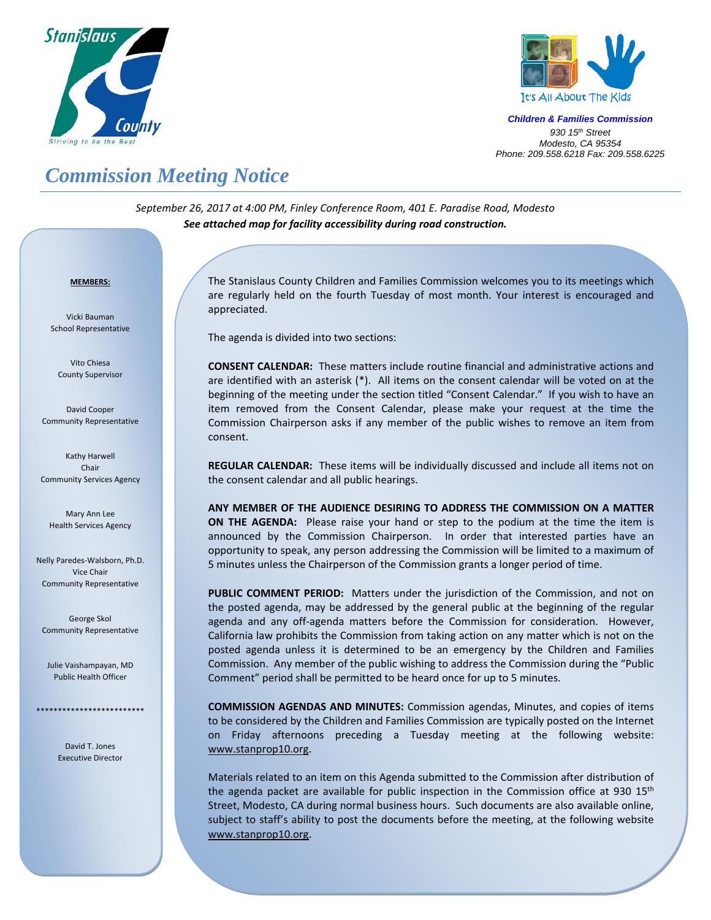



*Children & Families Commission 930 15th Street Modesto, CA 95354 Phone: 209.558.6218 Fax: 209.558.6225*

# *Commission Meeting Notice*

*September 26, 2017 at 4:00 PM, Finley Conference Room, 401 E. Paradise Road, Modesto See attached map for facility accessibility during road construction.*

#### <sup>U</sup>**MEMBERS:**

Vicki Bauman School Representative

Vito Chiesa County Supervisor

David Cooper Community Representative

Kathy Harwell Chair Community Services Agency

Mary Ann Lee Health Services Agency

Nelly Paredes‐Walsborn, Ph.D. Vice Chair Community Representative

George Skol Community Representative

Julie Vaishampayan, MD Public Health Officer

> David T. Jones Executive Director

\*\*\*\*\*\*\*\*\*\*\*\*\*\*\*\*\*\*\*\*\*\*\*\*\*

 $\overline{a}$ 

The Stanislaus County Children and Families Commission welcomes you to its meetings which are regularly held on the fourth Tuesday of most month. Your interest is encouraged and appreciated.

The agenda is divided into two sections:

**CONSENT CALENDAR:** These matters include routine financial and administrative actions and are identified with an asterisk (\*). All items on the consent calendar will be voted on at the beginning of the meeting under the section titled "Consent Calendar." If you wish to have an item removed from the Consent Calendar, please make your request at the time the Commission Chairperson asks if any member of the public wishes to remove an item from consent.

**REGULAR CALENDAR:** These items will be individually discussed and include all items not on the consent calendar and all public hearings.

**ANY MEMBER OF THE AUDIENCE DESIRING TO ADDRESS THE COMMISSION ON A MATTER ON THE AGENDA:** Please raise your hand or step to the podium at the time the item is announced by the Commission Chairperson. In order that interested parties have an opportunity to speak, any person addressing the Commission will be limited to a maximum of 5 minutes unless the Chairperson of the Commission grants a longer period of time.

PUBLIC COMMENT PERIOD: Matters under the jurisdiction of the Commission, and not on the posted agenda, may be addressed by the general public at the beginning of the regular agenda and any off-agenda matters before the Commission for consideration. However, California law prohibits the Commission from taking action on any matter which is not on the posted agenda unless it is determined to be an emergency by the Children and Families Commission. Any member of the public wishing to address the Commission during the "Public Comment" period shall be permitted to be heard once for up to 5 minutes.

**COMMISSION AGENDAS AND MINUTES:** Commission agendas, Minutes, and copies of items to be considered by the Children and Families Commission are typically posted on the Internet on Friday afternoons preceding a Tuesday meeting at the following website: www.stanprop10.org.

Materials related to an item on this Agenda submitted to the Commission after distribution of the agenda packet are available for public inspection in the Commission office at 930  $15<sup>th</sup>$ Street, Modesto, CA during normal business hours. Such documents are also available online, subject to staff's ability to post the documents before the meeting, at the following website www.stanprop10.org.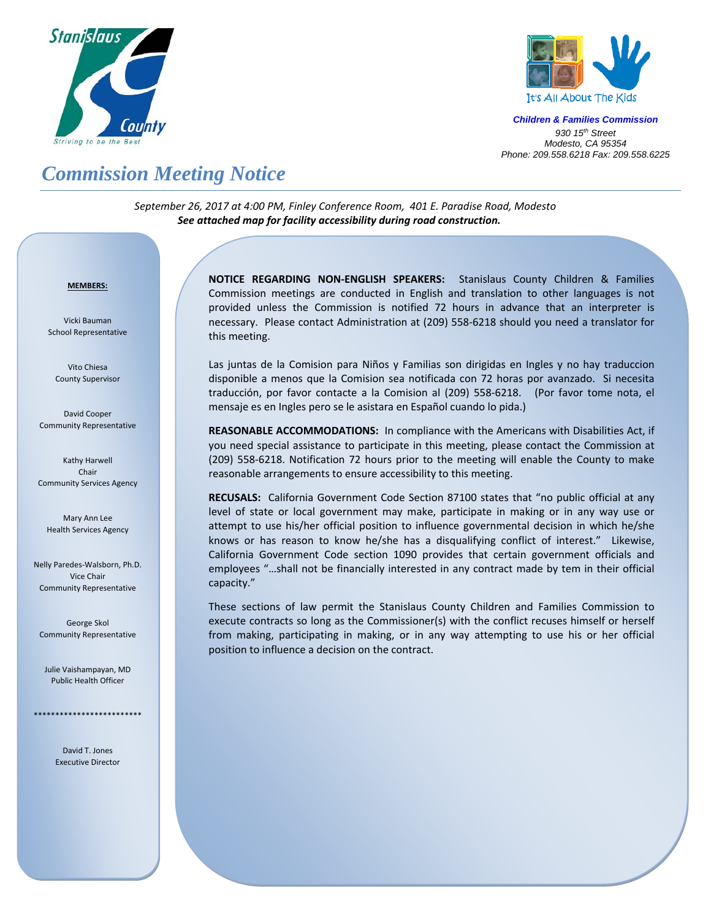



*Children & Families Commission 930 15th Street Modesto, CA 95354 Phone: 209.558.6218 Fax: 209.558.6225*

# *Commission Meeting Notice*

*September 26, 2017 at 4:00 PM, Finley Conference Room, 401 E. Paradise Road, Modesto See attached map for facility accessibility during road construction.*

#### <sup>U</sup>**MEMBERS:**

Vicki Bauman School Representative

Vito Chiesa County Supervisor

David Cooper Community Representative

Kathy Harwell Chair Community Services Agency

Mary Ann Lee Health Services Agency

Nelly Paredes‐Walsborn, Ph.D. Vice Chair Community Representative

George Skol Community Representative

Julie Vaishampayan, MD Public Health Officer

\*\*\*\*\*\*\*\*\*\*\*\*\*\*\*\*\*\*\*\*\*\*\*\*\*

David T. Jones Executive Director **NOTICE REGARDING NON‐ENGLISH SPEAKERS:** Stanislaus County Children & Families Commission meetings are conducted in English and translation to other languages is not provided unless the Commission is notified 72 hours in advance that an interpreter is necessary. Please contact Administration at (209) 558‐6218 should you need a translator for this meeting.

Las juntas de la Comision para Niños y Familias son dirigidas en Ingles y no hay traduccion disponible a menos que la Comision sea notificada con 72 horas por avanzado. Si necesita traducción, por favor contacte a la Comision al (209) 558‐6218. (Por favor tome nota, el mensaje es en Ingles pero se le asistara en Español cuando lo pida.)

**REASONABLE ACCOMMODATIONS:** In compliance with the Americans with Disabilities Act, if you need special assistance to participate in this meeting, please contact the Commission at (209) 558‐6218. Notification 72 hours prior to the meeting will enable the County to make reasonable arrangements to ensure accessibility to this meeting.

RECUSALS: California Government Code Section 87100 states that "no public official at any level of state or local government may make, participate in making or in any way use or attempt to use his/her official position to influence governmental decision in which he/she knows or has reason to know he/she has a disqualifying conflict of interest." Likewise, California Government Code section 1090 provides that certain government officials and employees "…shall not be financially interested in any contract made by tem in their official capacity."

These sections of law permit the Stanislaus County Children and Families Commission to execute contracts so long as the Commissioner(s) with the conflict recuses himself or herself from making, participating in making, or in any way attempting to use his or her official position to influence a decision on the contract.